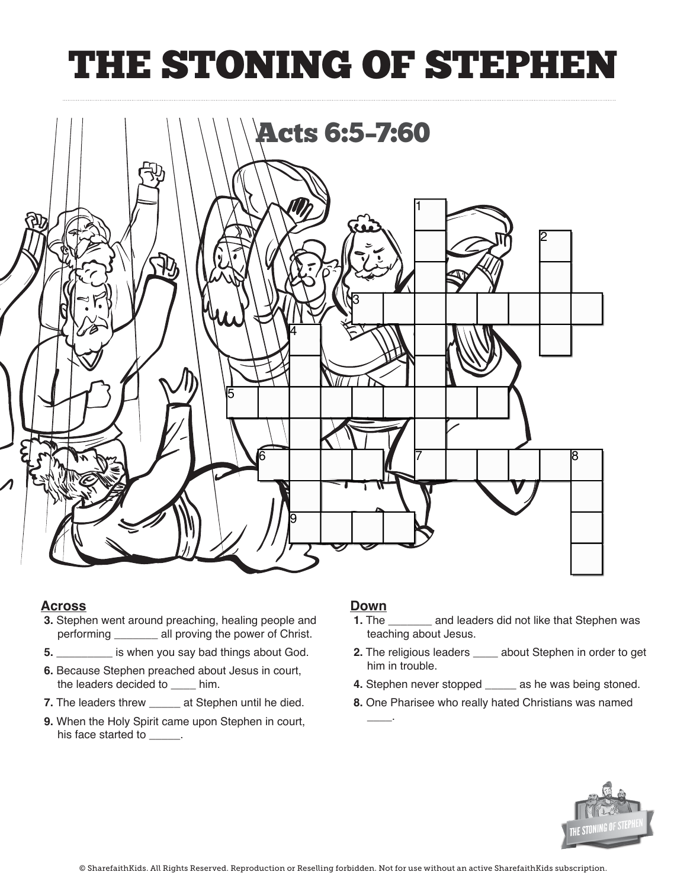## THE STONING OF STEPHEI



### **Across Across**

- **3.** Stephen went around preaching, healing people and **3.** Stephen went around preaching, healing people and **1.** The  $\frac{1}{2}$  performing \_\_\_\_\_\_\_\_\_ all proving the power of Christ.
- **5. \_\_\_\_\_\_\_\_** is when you say bad things about God. **2.** The
- **6.** Because Stephen preached about Jesus in court, **him** in the leaders decided to \_\_\_\_\_ him. **4.** Step
- **7.** The leaders threw **edge and Stephen until he died.**
- **9.** When the Holy Spirit came upon Stephen in court,  $\frac{1}{2}$ his face started to **\_\_\_\_\_**. **Prior the Holy Spirit came upon Stephen in contract court, we have seen that**  $\frac{1}{\sqrt{2}}$ **.**

### **Down**

**\_\_\_\_**.

- **1.** The \_\_\_\_\_\_\_\_ and leaders did not like that Stephen was teaching about Jesus. teaching about Jesus.
- **2.** The religious leaders **\_\_\_\_** about Stephen in order to get him in trouble.
- **4.** Stephen never stopped \_\_\_\_\_ as he was being stoned.
- **8.** One Pharisee who really hated Christians was named